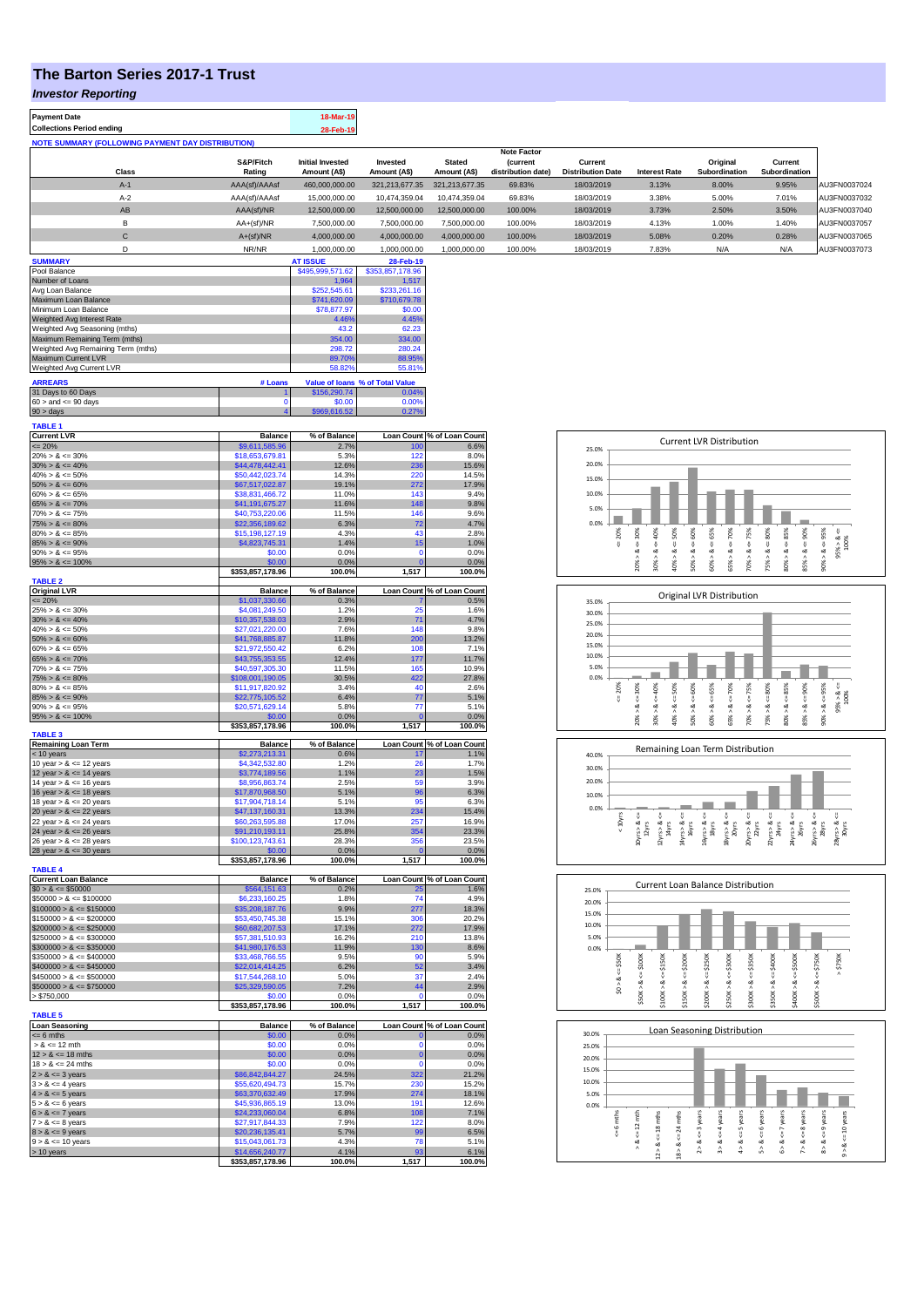## **The Barton Series 2017-1 Trust**

## *Investor Reporting*

| <b>Payment Date</b>                                      | 18-Mar-19 |
|----------------------------------------------------------|-----------|
| <b>Collections Period ending</b>                         | 28-Feb-19 |
| <b>NOTE SUMMARY (FOLLOWING PAYMENT DAY DISTRIBUTION)</b> |           |

| 110 I L VVIIIIIAN I N VLLVIIIIN I ATIIILN PAT PIVINDVINDIN |                    |                         |                |                |                    |                          |                      |               |               |              |
|------------------------------------------------------------|--------------------|-------------------------|----------------|----------------|--------------------|--------------------------|----------------------|---------------|---------------|--------------|
|                                                            | <b>Note Factor</b> |                         |                |                |                    |                          |                      |               |               |              |
|                                                            | S&P/Fitch          | <b>Initial Invested</b> | Invested       | <b>Stated</b>  | <b>(current</b>    | Current                  |                      | Original      | Current       |              |
| Class                                                      | Rating             | Amount (A\$)            | Amount (A\$)   | Amount (A\$)   | distribution date) | <b>Distribution Date</b> | <b>Interest Rate</b> | Subordination | Subordination |              |
| $A-1$                                                      | AAA(sf)/AAAsf      | 460,000,000,00          | 321.213.677.35 | 321.213.677.35 | 69.83%             | 18/03/2019               | 3.13%                | 8.00%         | 9.95%         | AU3FN0037024 |
| $A-2$                                                      | AAA(sf)/AAAsf      | 15,000,000,00           | 10.474.359.04  | 10.474.359.04  | 69.83%             | 18/03/2019               | 3.38%                | 5.00%         | 7.01%         | AU3FN0037032 |
| AB                                                         | AAA(sf)/NR         | 12.500.000.00           | 12.500.000.00  | 12,500,000,00  | 100.00%            | 18/03/2019               | 3.73%                | 2.50%         | 3.50%         | AU3FN0037040 |
| в                                                          | $AA+(sf)/NR$       | 7.500.000.00            | 7.500.000.00   | 7.500.000.00   | 100.00%            | 18/03/2019               | 4.13%                | 1.00%         | 1.40%         | AU3FN0037057 |
| C                                                          | $A+(sf)/NR$        | 4.000.000.00            | 4.000.000.00   | 4.000.000.00   | 100.00%            | 18/03/2019               | 5.08%                | 0.20%         | 0.28%         | AU3FN0037065 |
|                                                            | NR/NR              | 1.000.000.00            | 1.000.000.00   | 1.000.000.00   | 100.00%            | 18/03/2019               | 7.83%                | N/A           | N/A           | AU3FN0037073 |

| <b>SUMMARY</b>                     |         | <b>AT ISSUE</b>  | 28-Feb-19                       |
|------------------------------------|---------|------------------|---------------------------------|
| Pool Balance                       |         | \$495,999,571.62 | \$353,857,178.96                |
| Number of Loans                    |         | 1.964            | 1.517                           |
| Avg Loan Balance                   |         | \$252,545.61     | \$233,261.16                    |
| Maximum Loan Balance               |         | \$741,620.09     | \$710,679.78                    |
| Minimum Loan Balance               |         | \$78,877.97      | \$0.00                          |
| Weighted Avg Interest Rate         |         | 4.46%            | 4.45%                           |
| Weighted Avg Seasoning (mths)      |         | 43.2             | 62.23                           |
| Maximum Remaining Term (mths)      |         | 354.00           | 334.00                          |
| Weighted Avg Remaining Term (mths) |         | 298.72           | 280.24                          |
| <b>Maximum Current LVR</b>         |         | 89.70%           | 88.95%                          |
| Weighted Avg Current LVR           |         | 58.82%           | 55.81%                          |
| <b>ARREARS</b>                     | # Loans |                  | Value of Ioans % of Total Value |
| 31 Days to 60 Days                 |         | \$156,290.74     | 0.04%                           |
|                                    |         |                  |                                 |

| $60 >$ and $\leq 90$ days | 60.00 | .00% |
|---------------------------|-------|------|
| $90 > \text{days}$        |       |      |
| <b>TABLE 1</b>            |       |      |

| <b>Current LVR</b>                  | <b>Balance</b>           | % of Balance         |                | Loan Count % of Loan Count         |
|-------------------------------------|--------------------------|----------------------|----------------|------------------------------------|
| $= 20%$                             | \$9,611,585.96           | 2.7%                 | 100            | 6.6%                               |
| $20\% > 8 \le 30\%$                 | \$18,653,679.81          | 5.3%                 | 122            | 8.0%                               |
| $30\% > 8 \le 40\%$                 | \$44,478,442.41          | 12.6%                | 236            | 15.6%                              |
| $40\% > 8 \le 50\%$                 | \$50,442,023,74          | 14.3%                | 220            | 14.5%                              |
| $50\% > 8 \le 60\%$                 | \$67,517,022.87          | 19.1%                | 272            | 17.9%                              |
|                                     |                          |                      |                |                                    |
| $60\% > 8 \le 65\%$                 | \$38,831,466.72          | 11.0%                | 143            | 9.4%                               |
| $65\% > 8 \le 70\%$                 | \$41,191,675.27          | 11.6%                | 148            | 9.8%                               |
| $70\% > 8 \le 75\%$                 | \$40,753,220.06          | 11.5%                | 146            | 9.6%                               |
| $75\% > 8 \le 80\%$                 | \$22,356,189.62          | 6.3%                 | 72             | 4.7%                               |
| $80\% > 8 \le 85\%$                 | \$15,198,127.19          | 4.3%                 | 43             | 2.8%                               |
| $85\% > 8 \le 90\%$                 | \$4,823,745.31           | 1.4%                 | 15             | 1.0%                               |
|                                     |                          |                      | $\Omega$       |                                    |
| $90\% > 8 \le 95\%$                 | \$0.00                   | 0.0%                 |                | 0.0%                               |
| $95\% > 8 \le 100\%$                | \$0.00                   | 0.0%                 | $\overline{0}$ | 0.0%                               |
|                                     | \$353,857,178.96         | 100.0%               | 1,517          | 100.0%                             |
| <b>TABLE 2</b>                      |                          |                      |                |                                    |
| <b>Original LVR</b>                 | <b>Balance</b>           | % of Balance         |                | Loan Count % of Loan Count         |
| <= 20%                              | \$1,037,330.66           | 0.3%                 |                | 0.5%                               |
| $25\% > 8 \le 30\%$                 | \$4,081,249.50           | 1.2%                 | 25             | 1.6%                               |
|                                     |                          |                      |                |                                    |
| $30\% > 8 \le 40\%$                 | \$10,357,538.03          | 2.9%                 | 71             | 4.7%                               |
| $40\% > 8 \le 50\%$                 | \$27,021,220.00          | 7.6%                 | 148            | 9.8%                               |
| $50\% > 8 \le 60\%$                 | \$41,768,885.87          | 11.8%                | 200            | 13.2%                              |
| $60\% > 8 \le 65\%$                 | \$21,972,550.42          | 6.2%                 | 108            | 7.1%                               |
| $65\% > 8 \le 70\%$                 | \$43,755,353.55          | 12.4%                | 177            | 11.7%                              |
| $70\% > 8 \le 75\%$                 | \$40,597,305.30          | 11.5%                | 165            | 10.9%                              |
| $75\% > 8 \le 80\%$                 | \$108,001,190.05         | 30.5%                | 422            | 27.8%                              |
| $80\% > 8 \le 85\%$                 |                          | 3.4%                 | 40             | 2.6%                               |
|                                     | \$11,917,820.92          |                      |                |                                    |
| $85\% > 8 \le 90\%$                 | \$22,775,105.52          | 6.4%                 | 77             | 5.1%                               |
| $90\% > 8 \le 95\%$                 | \$20,571,629.14          | 5.8%                 | 77             | 5.1%                               |
| $95\% > 8 \le 100\%$                | \$0.00                   | 0.0%                 | $\overline{0}$ | 0.0%                               |
|                                     | \$353,857,178.96         | 100.0%               | 1,517          | 100.0%                             |
| <b>TABLE 3</b>                      |                          |                      |                |                                    |
| <b>Remaining Loan Term</b>          | <b>Balance</b>           | % of Balance         |                | Loan Count % of Loan Count         |
| < 10 years                          | \$2,273,213.31           | 0.6%                 |                | 1.1%                               |
| 10 year $> 8 \le 12$ years          | \$4.342,532.80           | 1.2%                 | 26             | 1.7%                               |
|                                     |                          |                      | 23             | 1.5%                               |
| 12 year $> 8 \le 14$ years          | \$3,774,189.56           | 1.1%                 |                |                                    |
| 14 year $> 8 \le 16$ years          | \$8.956.863.74           | 2.5%                 | 59             | 3.9%                               |
| 16 year $> 8 \le 18$ years          | \$17,870,968.50          | 5.1%                 | 96             | 6.3%                               |
| 18 year $> 8 \le 20$ years          | \$17,904,718.14          | 5.1%                 | 95             | 6.3%                               |
|                                     |                          |                      |                |                                    |
|                                     |                          | 13.3%                | 234            | 15.4%                              |
| 20 year $> 8 \le 22$ years          | \$47,137,160.31          |                      |                |                                    |
| 22 year $> 8 \le 24$ years          | \$60,263,595.88          | 17.0%                | 257            | 16.9%                              |
| 24 year $> 8 \le 26$ years          | \$91,210,193.11          | 25.8%                | 354            | 23.3%                              |
| 26 year $> 8 \le 28$ years          | \$100,123,743.61         | 28.3%                | 356            | 23.5%                              |
| 28 year $> 8 \le 30$ years          | \$0.00                   | 0.0%                 |                | 0.0%                               |
|                                     | \$353,857,178.96         | 100.0%               | 1,517          | 100.0%                             |
| <b>TABLE 4</b>                      |                          |                      |                |                                    |
| <b>Current Loan Balance</b>         | <b>Balance</b>           | % of Balance         |                | Loan Count % of Loan Count         |
|                                     |                          |                      | 25             |                                    |
| $$0 > 8 \le $50000$                 | \$564,151.63             | 0.2%                 |                | 1.6%                               |
| $$50000 > 8 \le $100000$            | \$6,233,160.25           | 1.8%                 | 74             | 4.9%                               |
| $$100000 > 8 \le $150000$           | \$35,208,187.76          | 9.9%                 | 277            | 18.3%                              |
| $$150000 > 8 \le $200000$           | \$53,450,745.38          | 15.1%                | 306            | 20.2%                              |
| $$200000 > 8 \le $250000$           | \$60,682,207.53          | 17.1%                | 272            | 17.9%                              |
| $$250000 > 8 \le $300000$           | \$57,381,510.93          | 16.2%                | 210            | 13.8%                              |
| $$300000 > 8 \leq $350000$          | \$41,980,176.53          | 11.9%                | 130            | 8.6%                               |
| $$350000 > 8 \le $400000$           | \$33,468,766.55          | 9.5%                 | 90             | 5.9%                               |
|                                     |                          |                      |                |                                    |
| $$400000 > 8 \leq $450000$          | \$22,014,414.25          | 6.2%                 | 52             | 3.4%                               |
| $$450000 > 8 \le $500000$           | \$17,544,268.10          | 5.0%                 | 37             | 2.4%                               |
| $$500000 > 8 \le $750000$           | \$25,329,590.05          | 7.2%                 | 44             | 2.9%                               |
| > \$750,000                         | \$0.00                   | 0.0%                 | O              | 0.0%                               |
|                                     | \$353,857,178.96         | 100.0%               | 1,517          | 100.0%                             |
| <b>TABLE 5</b>                      |                          |                      |                |                                    |
|                                     |                          |                      |                |                                    |
| <b>Loan Seasoning</b><br>$= 6$ mths | <b>Balance</b><br>\$0.00 | % of Balance<br>0.0% | $\mathbf{0}$   | Loan Count % of Loan Count<br>0.0% |
|                                     |                          |                      |                |                                    |
| $> 8 \le 12$ mth                    | \$0.00                   | 0.0%                 | 0              | 0.0%                               |
| $12 > 8 \le 18$ mths                | \$0.00                   | 0.0%                 | $\bf{0}$       | 0.0%                               |
| $18 > 8 \le 24$ mths                | \$0.00                   | 0.0%                 | $\Omega$       | 0.0%                               |
| $2 > 8 \le 3$ years                 | \$86,842,844.27          | 24.5%                | 322            | 21.2%                              |
| $3 > 8 \le 4$ years                 | \$55,620,494.73          | 15.7%                | 230            | 15.2%                              |
|                                     | \$63,370,632.49          | 17.9%                | 274            | 18.1%                              |
| $4 > 8 \le 5$ years                 |                          |                      |                |                                    |
| $5 > 8 \le 6$ years                 | \$45,936,865.19          | 13.0%                | 191            | 12.6%                              |
| $6 > 8 \le 7$ years                 | \$24,233,060.04          | 6.8%                 | 108            | 7.1%                               |
| $7 > 8 \leq 8$ years                | \$27,917,844.33          | 7.9%                 | 122            | 8.0%                               |
| $8 > 8 \le 9$ years                 | \$20,236,135.41          | 5.7%                 | 99             | 6.5%                               |
| $9 > 8 \le 10$ years                | \$15,043,061.73          | 4.3%                 | 78             | 5.1%                               |
| > 10 years                          | \$14,656,240.77          | 4.1%                 | 93             | 6.1%                               |

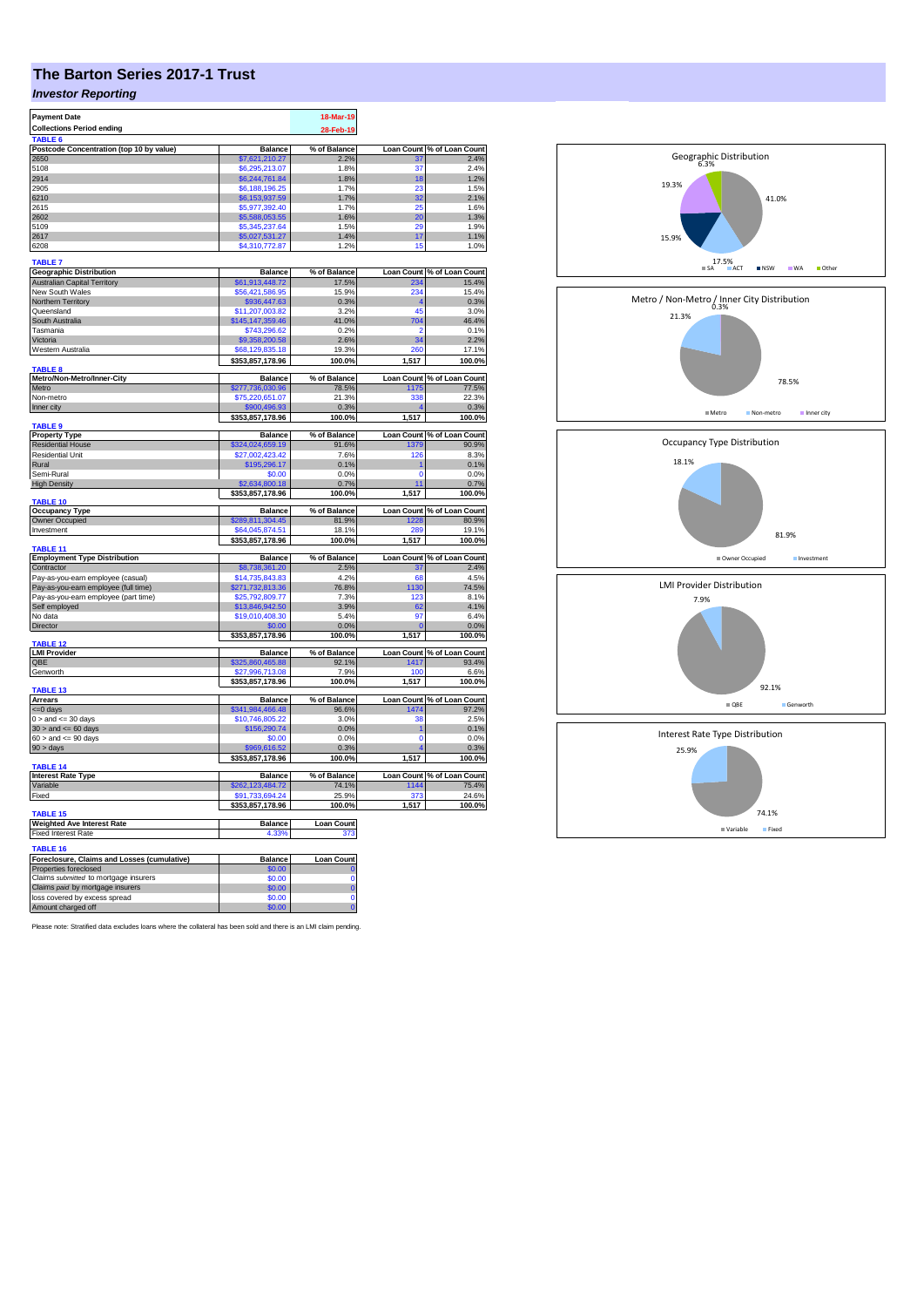# **The Barton Series 2017-1 Trust**

## *Investor Reporting*

| <b>Payment Date</b><br><b>Collections Period ending</b>                   |                                     | 18-Mar-19<br>28-Feb-19 |                   |                                    |
|---------------------------------------------------------------------------|-------------------------------------|------------------------|-------------------|------------------------------------|
| <b>TARLE 6</b>                                                            |                                     |                        |                   |                                    |
| Postcode Concentration (top 10 by value)<br>2650                          | <b>Balance</b><br>\$7,621,210.27    | % of Balance<br>2.2%   | 31                | Loan Count % of Loan Count<br>2.4% |
| 5108                                                                      | \$6,295,213.07                      | 1.8%                   | 37                | 2.4%                               |
| 2914                                                                      | \$6,244,761.84                      | 1.8%                   | 18                | 1.2%                               |
| 2905                                                                      | \$6,188,196,25                      | 1.7%                   | 23                | 1.5%                               |
| 6210<br>2615                                                              | \$6,153,937.59                      | 1.7%                   | 32<br>25          | 2.1%<br>1.6%                       |
| 2602                                                                      | \$5,977,392.40<br>\$5,588,053.55    | 1.7%<br>1.6%           | 20                | 1.3%                               |
| 5109                                                                      | \$5,345,237.64                      | 1.5%                   | 29                | 1.9%                               |
| 2617                                                                      | \$5,027,531.27                      | 1.4%                   | 17                | 1.1%                               |
| 6208                                                                      | \$4,310,772.87                      | 1.2%                   | 15                | 1.0%                               |
| <b>TABLE 7</b>                                                            |                                     |                        |                   |                                    |
| <b>Geographic Distribution</b>                                            | <b>Balance</b>                      | % of Balance           |                   | Loan Count % of Loan Count         |
| <b>Australian Capital Territory</b>                                       | \$61,913,448.72                     | 17.5%                  | 234               | 15.4%                              |
| New South Wales                                                           | \$56,421,586.95                     | 15.9%                  | 234               | 15.4%                              |
| Northern Territory                                                        | \$936,447.63                        | 0.3%                   |                   | 0.3%                               |
| Queensland<br>South Australia                                             | \$11,207,003.82<br>\$145,147,359.46 | 3.2%<br>41.0%          | 45<br>704         | 3.0%<br>46.4%                      |
| Tasmania                                                                  | \$743.296.62                        | 0.2%                   | 2                 | 0.1%                               |
| Victoria                                                                  | \$9,358,200.58                      | 2.6%                   | 34                | 2.2%                               |
| Western Australia                                                         | \$68,129,835.18                     | 19.3%                  | 260               | 17.1%                              |
|                                                                           | \$353,857,178.96                    | 100.0%                 | 1,517             | 100.0%                             |
| <b>TABLE 8</b><br>Metro/Non-Metro/Inner-City                              | <b>Balance</b>                      | % of Balance           |                   | Loan Count % of Loan Count         |
| Metro                                                                     | \$277,736,030.96                    | 78.5%                  | 175               | 77.5%                              |
| Non-metro                                                                 | \$75,220,651.07                     | 21.3%                  | 338               | 22.3%                              |
| Inner city                                                                | \$900,496.93                        | 0.3%                   |                   | 0.3%                               |
| TABLE <sub>9</sub>                                                        | \$353,857,178.96                    | 100.0%                 | 1,517             | 100.0%                             |
| <b>Property Type</b>                                                      | <b>Balance</b>                      | % of Balance           |                   | Loan Count % of Loan Count         |
| <b>Residential House</b>                                                  | \$324,024,659.19                    | 91.6%                  | 1379              | 90.9%                              |
| <b>Residential Unit</b>                                                   | \$27,002,423,42                     | 7.6%                   | 126               | 8.3%                               |
| Rural<br>Semi-Rural                                                       | \$195,296.17<br>\$0.00              | 0.1%<br>0.0%           | n                 | 0.1%<br>0.0%                       |
| <b>High Density</b>                                                       | \$2,634,800.18                      | 0.7%                   | 11                | 0.7%                               |
|                                                                           | \$353,857,178.96                    | 100.0%                 | 1,517             | 100.0%                             |
| TABLE 10                                                                  |                                     |                        |                   |                                    |
| <b>Occupancy Type</b>                                                     | <b>Balance</b>                      | % of Balance           | <b>Loan Count</b> | % of Loan Count<br>80.9%           |
| Owner Occupied<br>Investment                                              | \$289,811,304.45<br>\$64,045,874.51 | 81.9%<br>18.1%         | 1228<br>289       | 19.1%                              |
|                                                                           | \$353,857,178.96                    | 100.0%                 | 1,517             | 100.0%                             |
| TABLE 11                                                                  |                                     |                        |                   |                                    |
| <b>Employment Type Distribution</b>                                       | <b>Balance</b>                      | % of Balance<br>2.5%   | 37                | Loan Count % of Loan Count         |
| Contractor<br>Pay-as-you-earn employee (casual)                           | \$8,738,361.20<br>\$14,735,843.83   | 4.2%                   | 68                | 2.4%<br>4.5%                       |
| Pay-as-you-earn employee (full time)                                      | \$271,732,813.36                    | 76.8%                  | 1130              | 74.5%                              |
| Pay-as-you-earn employee (part time)                                      | \$25,792,809.77                     | 7.3%                   | 123               | 8.1%                               |
| Self employed                                                             | \$13,846,942.50                     | 3.9%                   | 62                | 4.1%                               |
| No data                                                                   | \$19.010.408.30                     | 5.4%                   | 97                | 6.4%                               |
| Director                                                                  | \$0.00                              | 0.0%                   | $\mathbf{0}$      | 0.0%                               |
| <b>TABLE 12</b>                                                           | \$353,857,178.96                    | 100.0%                 | 1,517             | 100.0%                             |
| <b>LMI Provider</b>                                                       | <b>Balance</b>                      | % of Balance           |                   | Loan Count % of Loan Count         |
| OBE                                                                       | \$325,860,465.88                    | 92.1%                  | 1417              | 93.4%                              |
| Genworth                                                                  | \$27,996,713.08                     | 7.9%                   | 100               | 6.6%                               |
| TABLE 13                                                                  | \$353,857,178.96                    | 100.0%                 | 1,517             | 100.0%                             |
| <b>Arrears</b>                                                            | <b>Balance</b>                      | % of Balance           |                   | Loan Count % of Loan Count         |
| $= 0$ days                                                                | \$341,984,466.48                    | 96.6%                  | 1474              | 97.2%                              |
| $0 >$ and $\leq 30$ days                                                  | \$10,746,805.22                     | 3.0%                   | 38                | 2.5%                               |
| $30 >$ and $\leq 60$ days                                                 | \$156,290.74                        | 0.0%                   | 1                 | 0.1%                               |
| $60 >$ and $\leq 90$ days                                                 | \$0.00<br>\$969,616,52              | 0.0%                   | $\overline{0}$    | 0.0%                               |
| 90 > days                                                                 | \$353,857,178.96                    | 0.3%<br>100.0%         | 1,517             | 0.3%<br>100.0%                     |
| TABLE <sub>14</sub>                                                       |                                     |                        |                   |                                    |
| <b>Interest Rate Type</b>                                                 | <b>Balance</b>                      | % of Balance           |                   | Loan Count % of Loan Count         |
| Variable                                                                  | \$262,123,484.72                    | 74.1%<br>25.9%         | 1144<br>373       | 75.4%                              |
| Fixed                                                                     | \$91,733,694.24<br>\$353,857,178.96 | 100.0%                 | 1,517             | 24.6%<br>100.0%                    |
| TABLE <sub>15</sub>                                                       |                                     |                        |                   |                                    |
| <b>Weighted Ave Interest Rate</b>                                         | Balance                             | <b>Loan Count</b>      |                   |                                    |
| <b>Fixed Interest Rate</b>                                                | 4.33%                               | 373                    |                   |                                    |
| <b>TABLE 16</b>                                                           |                                     |                        |                   |                                    |
| Foreclosure, Claims and Losses (cumulative)                               | <b>Balance</b>                      | Loan Count             |                   |                                    |
| Properties foreclosed                                                     | \$0.00<br>\$0.00                    | Ò                      |                   |                                    |
| Claims submitted to mortgage insurers<br>Claims paid by mortgage insurers | \$0.00                              | $\overline{0}$         |                   |                                    |
| loss covered by excess spread                                             | \$0.00                              | Ō                      |                   |                                    |
| Amount charged off                                                        | \$0.00                              | $\overline{0}$         |                   |                                    |

Please note: Stratified data excludes loans where the collateral has been sold and there is an LMI claim pending.